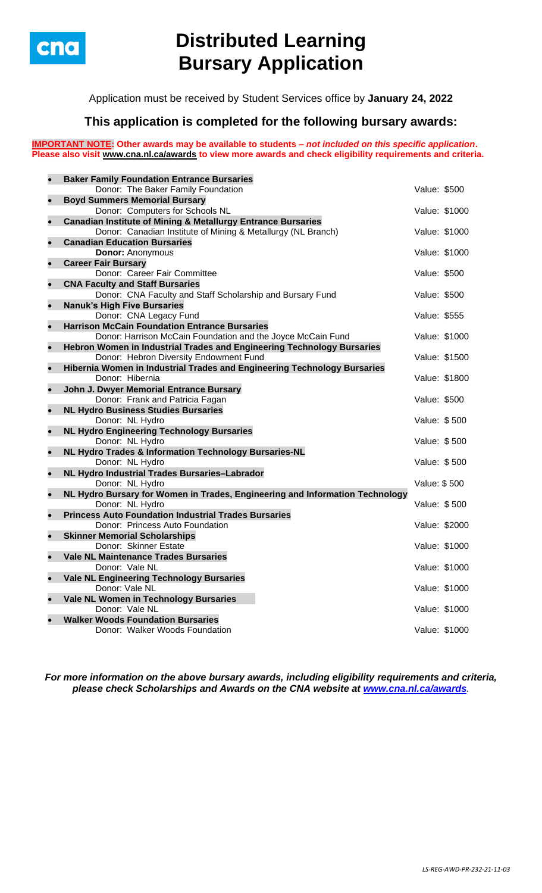

## **Distributed Learning Bursary Application**

Application must be received by Student Services office by **January 24, 2022**

## **This application is completed for the following bursary awards:**

**IMPORTANT NOTE: Other awards may be available to students –** *not included on this specific application***. Please also visit [www.cna.nl.ca/awards](http://www.cna.nl.ca/awards) to view more awards and check eligibility requirements and criteria.**

| $\bullet$ | <b>Baker Family Foundation Entrance Bursaries</b>                                                                |               |               |
|-----------|------------------------------------------------------------------------------------------------------------------|---------------|---------------|
|           | Donor: The Baker Family Foundation                                                                               | Value: \$500  |               |
| $\bullet$ | <b>Boyd Summers Memorial Bursary</b>                                                                             |               |               |
|           | Donor: Computers for Schools NL                                                                                  | Value: \$1000 |               |
| $\bullet$ | <b>Canadian Institute of Mining &amp; Metallurgy Entrance Bursaries</b>                                          |               |               |
|           | Donor: Canadian Institute of Mining & Metallurgy (NL Branch)                                                     | Value: \$1000 |               |
| $\bullet$ | <b>Canadian Education Bursaries</b>                                                                              |               |               |
|           | <b>Donor: Anonymous</b>                                                                                          | Value: \$1000 |               |
| $\bullet$ | <b>Career Fair Bursary</b>                                                                                       |               |               |
|           | Donor: Career Fair Committee                                                                                     | Value: \$500  |               |
| $\bullet$ | <b>CNA Faculty and Staff Bursaries</b>                                                                           |               |               |
|           | Donor: CNA Faculty and Staff Scholarship and Bursary Fund                                                        | Value: \$500  |               |
| $\bullet$ | <b>Nanuk's High Five Bursaries</b>                                                                               |               |               |
|           | Donor: CNA Legacy Fund                                                                                           | Value: \$555  |               |
| $\bullet$ | <b>Harrison McCain Foundation Entrance Bursaries</b>                                                             | Value: \$1000 |               |
|           | Donor: Harrison McCain Foundation and the Joyce McCain Fund                                                      |               |               |
| $\bullet$ | Hebron Women in Industrial Trades and Engineering Technology Bursaries<br>Donor: Hebron Diversity Endowment Fund | Value: \$1500 |               |
| $\bullet$ | Hibernia Women in Industrial Trades and Engineering Technology Bursaries                                         |               |               |
|           | Donor: Hibernia                                                                                                  | Value: \$1800 |               |
| $\bullet$ | John J. Dwyer Memorial Entrance Bursary                                                                          |               |               |
|           | Donor: Frank and Patricia Fagan                                                                                  | Value: \$500  |               |
| $\bullet$ | <b>NL Hydro Business Studies Bursaries</b>                                                                       |               |               |
|           | Donor: NL Hydro                                                                                                  | Value: \$500  |               |
| $\bullet$ | <b>NL Hydro Engineering Technology Bursaries</b>                                                                 |               |               |
|           | Donor: NL Hydro                                                                                                  | Value: \$500  |               |
| $\bullet$ | NL Hydro Trades & Information Technology Bursaries-NL                                                            |               |               |
|           | Donor: NL Hydro                                                                                                  | Value: \$500  |               |
| $\bullet$ | NL Hydro Industrial Trades Bursaries-Labrador                                                                    |               |               |
|           | Donor: NL Hydro                                                                                                  | Value: \$500  |               |
| $\bullet$ | NL Hydro Bursary for Women in Trades, Engineering and Information Technology                                     |               |               |
|           | Donor: NL Hydro                                                                                                  | Value: \$500  |               |
| $\bullet$ | <b>Princess Auto Foundation Industrial Trades Bursaries</b>                                                      |               |               |
| $\bullet$ | Donor: Princess Auto Foundation                                                                                  | Value: \$2000 |               |
|           | <b>Skinner Memorial Scholarships</b><br>Donor: Skinner Estate                                                    | Value: \$1000 |               |
|           | <b>Vale NL Maintenance Trades Bursaries</b>                                                                      |               |               |
|           | Donor: Vale NL                                                                                                   | Value: \$1000 |               |
| $\bullet$ | <b>Vale NL Engineering Technology Bursaries</b>                                                                  |               |               |
|           | Donor: Vale NL                                                                                                   |               | Value: \$1000 |
| $\bullet$ | Vale NL Women in Technology Bursaries                                                                            |               |               |
|           | Donor: Vale NL                                                                                                   | Value: \$1000 |               |
|           | <b>Walker Woods Foundation Bursaries</b>                                                                         |               |               |
|           | Donor: Walker Woods Foundation                                                                                   | Value: \$1000 |               |
|           |                                                                                                                  |               |               |

*For more information on the above bursary awards, including eligibility requirements and criteria, please check Scholarships and Awards on the CNA website at [www.cna.nl.ca/awards](http://www.cna.nl.ca/awards).*